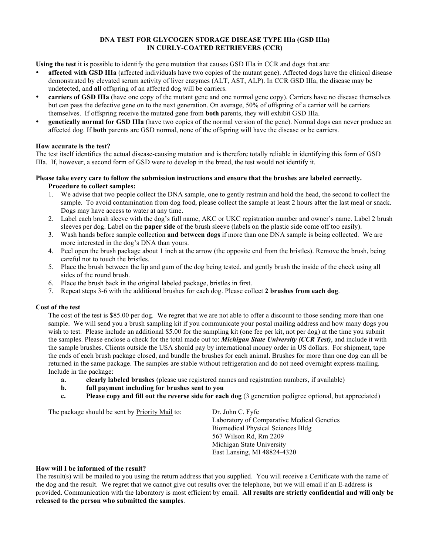#### **DNA TEST FOR GLYCOGEN STORAGE DISEASE TYPE IIIa (GSD IIIa) IN CURLY-COATED RETRIEVERS (CCR)**

**Using the test** it is possible to identify the gene mutation that causes GSD IIIa in CCR and dogs that are:

- **affected with GSD IIIa** (affected individuals have two copies of the mutant gene). Affected dogs have the clinical disease demonstrated by elevated serum activity of liver enzymes (ALT, AST, ALP). In CCR GSD IIIa, the disease may be undetected, and **all** offspring of an affected dog will be carriers.
- **carriers of GSD IIIa** (have one copy of the mutant gene and one normal gene copy). Carriers have no disease themselves but can pass the defective gene on to the next generation. On average, 50% of offspring of a carrier will be carriers themselves. If offspring receive the mutated gene from **both** parents, they will exhibit GSD IIIa.
- **genetically normal for GSD IIIa** (have two copies of the normal version of the gene). Normal dogs can never produce an affected dog. If **both** parents are GSD normal, none of the offspring will have the disease or be carriers.

#### **How accurate is the test?**

The test itself identifies the actual disease-causing mutation and is therefore totally reliable in identifying this form of GSD IIIa. If, however, a second form of GSD were to develop in the breed, the test would not identify it.

#### **Please take every care to follow the submission instructions and ensure that the brushes are labeled correctly. Procedure to collect samples:**

- 1. We advise that two people collect the DNA sample, one to gently restrain and hold the head, the second to collect the sample. To avoid contamination from dog food, please collect the sample at least 2 hours after the last meal or snack. Dogs may have access to water at any time.
- 2. Label each brush sleeve with the dog's full name, AKC or UKC registration number and owner's name. Label 2 brush sleeves per dog. Label on the **paper side** of the brush sleeve (labels on the plastic side come off too easily).
- 3. Wash hands before sample collection **and between dogs** if more than one DNA sample is being collected. We are more interested in the dog's DNA than yours.
- 4. Peel open the brush package about 1 inch at the arrow (the opposite end from the bristles). Remove the brush, being careful not to touch the bristles.
- 5. Place the brush between the lip and gum of the dog being tested, and gently brush the inside of the cheek using all sides of the round brush.
- 6. Place the brush back in the original labeled package, bristles in first.
- 7. Repeat steps 3-6 with the additional brushes for each dog. Please collect **2 brushes from each dog**.

#### **Cost of the test**

The cost of the test is \$85.00 per dog. We regret that we are not able to offer a discount to those sending more than one sample. We will send you a brush sampling kit if you communicate your postal mailing address and how many dogs you wish to test. Please include an additional \$5.00 for the sampling kit (one fee per kit, not per dog) at the time you submit the samples. Please enclose a check for the total made out to: *Michigan State University (CCR Test)*, and include it with the sample brushes. Clients outside the USA should pay by international money order in US dollars. For shipment, tape the ends of each brush package closed, and bundle the brushes for each animal. Brushes for more than one dog can all be returned in the same package. The samples are stable without refrigeration and do not need overnight express mailing. Include in the package:

- **a. clearly labeled brushes** (please use registered names and registration numbers, if available)
- **b. full payment including for brushes sent to you**
- **c. Please copy and fill out the reverse side for each dog** (3 generation pedigree optional, but appreciated)

The package should be sent by **Priority Mail** to: Dr. John C. Fyfe

Laboratory of Comparative Medical Genetics Biomedical Physical Sciences Bldg 567 Wilson Rd, Rm 2209 Michigan State University East Lansing, MI 48824-4320

### **How will I be informed of the result?**

The result(s) will be mailed to you using the return address that you supplied. You will receive a Certificate with the name of the dog and the result. We regret that we cannot give out results over the telephone, but we will email if an E-address is provided. Communication with the laboratory is most efficient by email. **All results are strictly confidential and will only be released to the person who submitted the samples**.